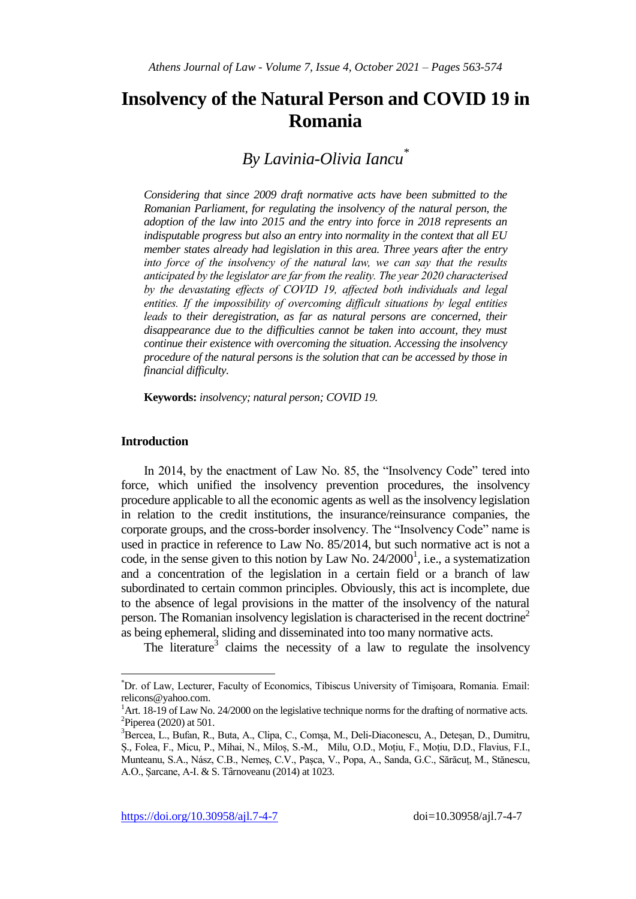# **Insolvency of the Natural Person and COVID 19 in Romania**

## *By Lavinia-Olivia Iancu\**

*Considering that since 2009 draft normative acts have been submitted to the Romanian Parliament, for regulating the insolvency of the natural person, the adoption of the law into 2015 and the entry into force in 2018 represents an indisputable progress but also an entry into normality in the context that all EU member states already had legislation in this area. Three years after the entry*  into force of the insolvency of the natural law, we can say that the results *anticipated by the legislator are far from the reality. The year 2020 characterised by the devastating effects of COVID 19, affected both individuals and legal*  entities. If the impossibility of overcoming difficult situations by legal entities leads to their deregistration, as far as natural persons are concerned, their *disappearance due to the difficulties cannot be taken into account, they must continue their existence with overcoming the situation. Accessing the insolvency procedure of the natural persons is the solution that can be accessed by those in financial difficulty.*

**Keywords:** *insolvency; natural person; COVID 19.*

### **Introduction**

 $\overline{\phantom{a}}$ 

In 2014, by the enactment of Law No. 85, the "Insolvency Code" tered into force, which unified the insolvency prevention procedures, the insolvency procedure applicable to all the economic agents as well as the insolvency legislation in relation to the credit institutions, the insurance/reinsurance companies, the corporate groups, and the cross-border insolvency. The "Insolvency Code" name is used in practice in reference to Law No. 85/2014, but such normative act is not a code, in the sense given to this notion by Law No.  $24/2000^1$ , i.e., a systematization and a concentration of the legislation in a certain field or a branch of law subordinated to certain common principles. Obviously, this act is incomplete, due to the absence of legal provisions in the matter of the insolvency of the natural person. The Romanian insolvency legislation is characterised in the recent doctrine<sup>2</sup> as being ephemeral, sliding and disseminated into too many normative acts.

The literature<sup>3</sup> claims the necessity of a law to regulate the insolvency

<sup>\*</sup>Dr. of Law, Lecturer, Faculty of Economics, Tibiscus University of Timişoara, Romania. Email: relicons@yahoo.com.

 $1<sup>1</sup>$ Art. 18-19 of Law No. 24/2000 on the legislative technique norms for the drafting of normative acts.  ${}^{2}$ Piperea (2020) at 501.

<sup>3</sup>Bercea, L., Bufan, R., Buta, A., Clipa, C., Comșa, M., Deli-Diaconescu, A., Deteșan, D., Dumitru, Ș., Folea, F., Micu, P., Mihai, N., Miloș, S.-M., Milu, O.D., Moțiu, F., Moțiu, D.D., Flavius, F.I., Munteanu, S.A., Nász, C.B., Nemeș, C.V., Pașca, V., Popa, A., Sanda, G.C., Sărăcuț, M., Stănescu, A.O., Șarcane, A-I. & S. Târnoveanu (2014) at 1023.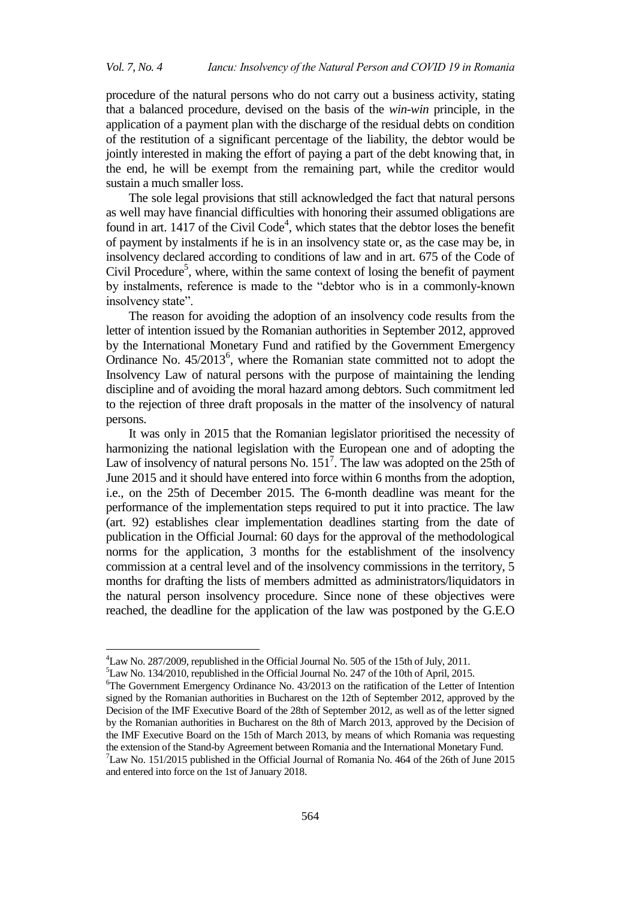procedure of the natural persons who do not carry out a business activity, stating that a balanced procedure, devised on the basis of the *win-win* principle, in the application of a payment plan with the discharge of the residual debts on condition of the restitution of a significant percentage of the liability, the debtor would be jointly interested in making the effort of paying a part of the debt knowing that, in the end, he will be exempt from the remaining part, while the creditor would sustain a much smaller loss.

The sole legal provisions that still acknowledged the fact that natural persons as well may have financial difficulties with honoring their assumed obligations are found in art.  $1417$  of the Civil Code<sup>4</sup>, which states that the debtor loses the benefit of payment by instalments if he is in an insolvency state or, as the case may be, in insolvency declared according to conditions of law and in art. 675 of the Code of Civil Procedure<sup>5</sup>, where, within the same context of losing the benefit of payment by instalments, reference is made to the "debtor who is in a commonly-known insolvency state".

The reason for avoiding the adoption of an insolvency code results from the letter of intention issued by the Romanian authorities in September 2012, approved by the International Monetary Fund and ratified by the Government Emergency Ordinance No.  $45/2013^6$ , where the Romanian state committed not to adopt the Insolvency Law of natural persons with the purpose of maintaining the lending discipline and of avoiding the moral hazard among debtors. Such commitment led to the rejection of three draft proposals in the matter of the insolvency of natural persons.

It was only in 2015 that the Romanian legislator prioritised the necessity of harmonizing the national legislation with the European one and of adopting the Law of insolvency of natural persons No.  $151<sup>7</sup>$ . The law was adopted on the 25th of June 2015 and it should have entered into force within 6 months from the adoption, i.e., on the 25th of December 2015. The 6-month deadline was meant for the performance of the implementation steps required to put it into practice. The law (art. 92) establishes clear implementation deadlines starting from the date of publication in the Official Journal: 60 days for the approval of the methodological norms for the application, 3 months for the establishment of the insolvency commission at a central level and of the insolvency commissions in the territory, 5 months for drafting the lists of members admitted as administrators/liquidators in the natural person insolvency procedure. Since none of these objectives were reached, the deadline for the application of the law was postponed by the G.E.O

1

<sup>4</sup>Law No. 287/2009, republished in the Official Journal No. 505 of the 15th of July, 2011.

<sup>5</sup>Law No. 134/2010, republished in the Official Journal No. 247 of the 10th of April, 2015.

<sup>6</sup>The Government Emergency Ordinance No. 43/2013 on the ratification of the Letter of Intention signed by the Romanian authorities in Bucharest on the 12th of September 2012, approved by the Decision of the IMF Executive Board of the 28th of September 2012, as well as of the letter signed by the Romanian authorities in Bucharest on the 8th of March 2013, approved by the Decision of the IMF Executive Board on the 15th of March 2013, by means of which Romania was requesting the extension of the Stand-by Agreement between Romania and the International Monetary Fund.  $7$ Law No. 151/2015 published in the Official Journal of Romania No. 464 of the 26th of June 2015 and entered into force on the 1st of January 2018.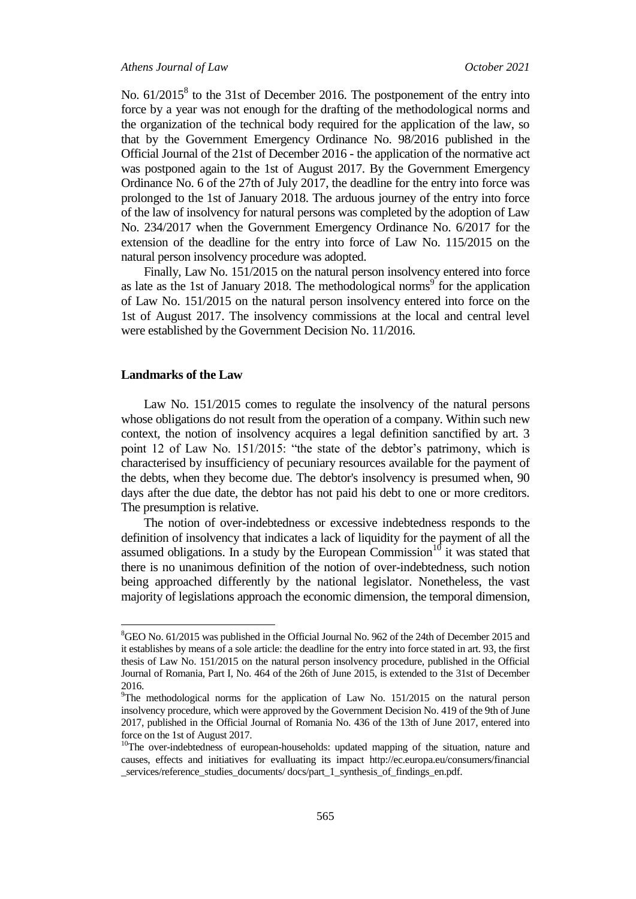*Athens Journal of Law October 2021*

No.  $61/2015^8$  to the 31st of December 2016. The postponement of the entry into force by a year was not enough for the drafting of the methodological norms and the organization of the technical body required for the application of the law, so that by the Government Emergency Ordinance No. 98/2016 published in the Official Journal of the 21st of December 2016 - the application of the normative act was postponed again to the 1st of August 2017. By the Government Emergency Ordinance No. 6 of the 27th of July 2017, the deadline for the entry into force was prolonged to the 1st of January 2018. The arduous journey of the entry into force of the law of insolvency for natural persons was completed by the adoption of Law No. 234/2017 when the Government Emergency Ordinance No. 6/2017 for the extension of the deadline for the entry into force of Law No. 115/2015 on the natural person insolvency procedure was adopted.

Finally, Law No. 151/2015 on the natural person insolvency entered into force as late as the 1st of January 2018. The methodological norms<sup>9</sup> for the application of Law No. 151/2015 on the natural person insolvency entered into force on the 1st of August 2017. The insolvency commissions at the local and central level were established by the Government Decision No. 11/2016.

#### **Landmarks of the Law**

 $\overline{a}$ 

Law No. 151/2015 comes to regulate the insolvency of the natural persons whose obligations do not result from the operation of a company. Within such new context, the notion of insolvency acquires a legal definition sanctified by art. 3 point 12 of Law No. 151/2015: "the state of the debtor's patrimony, which is characterised by insufficiency of pecuniary resources available for the payment of the debts, when they become due. The debtor's insolvency is presumed when, 90 days after the due date, the debtor has not paid his debt to one or more creditors. The presumption is relative.

The notion of over-indebtedness or excessive indebtedness responds to the definition of insolvency that indicates a lack of liquidity for the payment of all the assumed obligations. In a study by the European Commission<sup>10</sup> it was stated that there is no unanimous definition of the notion of over-indebtedness, such notion being approached differently by the national legislator. Nonetheless, the vast majority of legislations approach the economic dimension, the temporal dimension,

<sup>8</sup>GEO No. 61/2015 was published in the Official Journal No. 962 of the 24th of December 2015 and it establishes by means of a sole article: the deadline for the entry into force stated in art. 93, the first thesis of Law No. 151/2015 on the natural person insolvency procedure, published in the Official Journal of Romania, Part I, No. 464 of the 26th of June 2015, is extended to the 31st of December 2016.

 $9$ The methodological norms for the application of Law No. 151/2015 on the natural person insolvency procedure, which were approved by the Government Decision No. 419 of the 9th of June 2017, published in the Official Journal of Romania No. 436 of the 13th of June 2017, entered into force on the 1st of August 2017.

<sup>&</sup>lt;sup>10</sup>The over-indebtedness of european-households: updated mapping of the situation, nature and causes, effects and initiatives for evalluating its impact http://ec.europa.eu/consumers/financial \_services/reference\_studies\_documents/ docs/part\_1\_synthesis\_of\_findings\_en.pdf.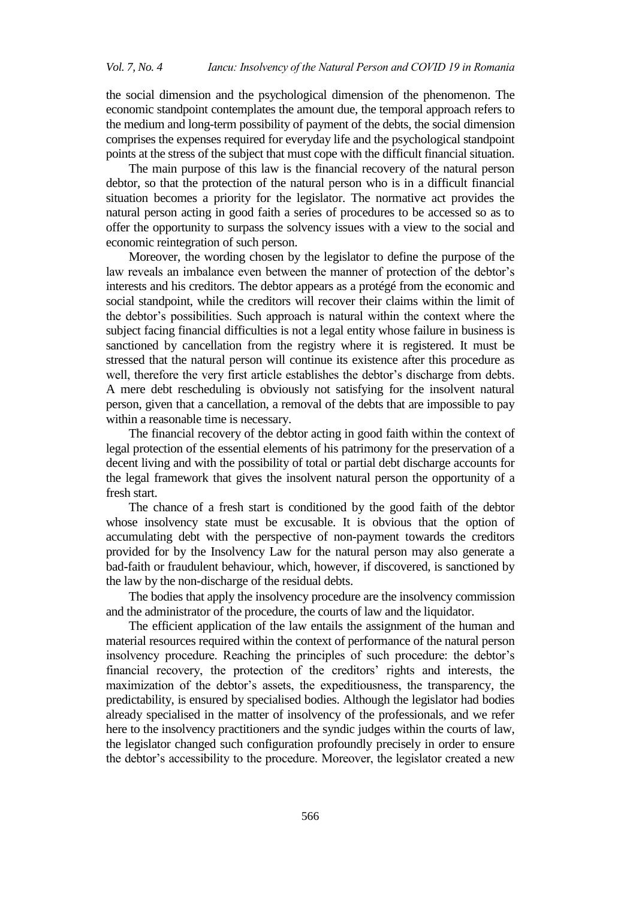the social dimension and the psychological dimension of the phenomenon. The economic standpoint contemplates the amount due, the temporal approach refers to the medium and long-term possibility of payment of the debts, the social dimension comprises the expenses required for everyday life and the psychological standpoint points at the stress of the subject that must cope with the difficult financial situation.

The main purpose of this law is the financial recovery of the natural person debtor, so that the protection of the natural person who is in a difficult financial situation becomes a priority for the legislator. The normative act provides the natural person acting in good faith a series of procedures to be accessed so as to offer the opportunity to surpass the solvency issues with a view to the social and economic reintegration of such person.

Moreover, the wording chosen by the legislator to define the purpose of the law reveals an imbalance even between the manner of protection of the debtor"s interests and his creditors. The debtor appears as a protégé from the economic and social standpoint, while the creditors will recover their claims within the limit of the debtor"s possibilities. Such approach is natural within the context where the subject facing financial difficulties is not a legal entity whose failure in business is sanctioned by cancellation from the registry where it is registered. It must be stressed that the natural person will continue its existence after this procedure as well, therefore the very first article establishes the debtor's discharge from debts. A mere debt rescheduling is obviously not satisfying for the insolvent natural person, given that a cancellation, a removal of the debts that are impossible to pay within a reasonable time is necessary.

The financial recovery of the debtor acting in good faith within the context of legal protection of the essential elements of his patrimony for the preservation of a decent living and with the possibility of total or partial debt discharge accounts for the legal framework that gives the insolvent natural person the opportunity of a fresh start.

The chance of a fresh start is conditioned by the good faith of the debtor whose insolvency state must be excusable. It is obvious that the option of accumulating debt with the perspective of non-payment towards the creditors provided for by the Insolvency Law for the natural person may also generate a bad-faith or fraudulent behaviour, which, however, if discovered, is sanctioned by the law by the non-discharge of the residual debts.

The bodies that apply the insolvency procedure are the insolvency commission and the administrator of the procedure, the courts of law and the liquidator.

The efficient application of the law entails the assignment of the human and material resources required within the context of performance of the natural person insolvency procedure. Reaching the principles of such procedure: the debtor"s financial recovery, the protection of the creditors' rights and interests, the maximization of the debtor's assets, the expeditiousness, the transparency, the predictability, is ensured by specialised bodies. Although the legislator had bodies already specialised in the matter of insolvency of the professionals, and we refer here to the insolvency practitioners and the syndic judges within the courts of law, the legislator changed such configuration profoundly precisely in order to ensure the debtor"s accessibility to the procedure. Moreover, the legislator created a new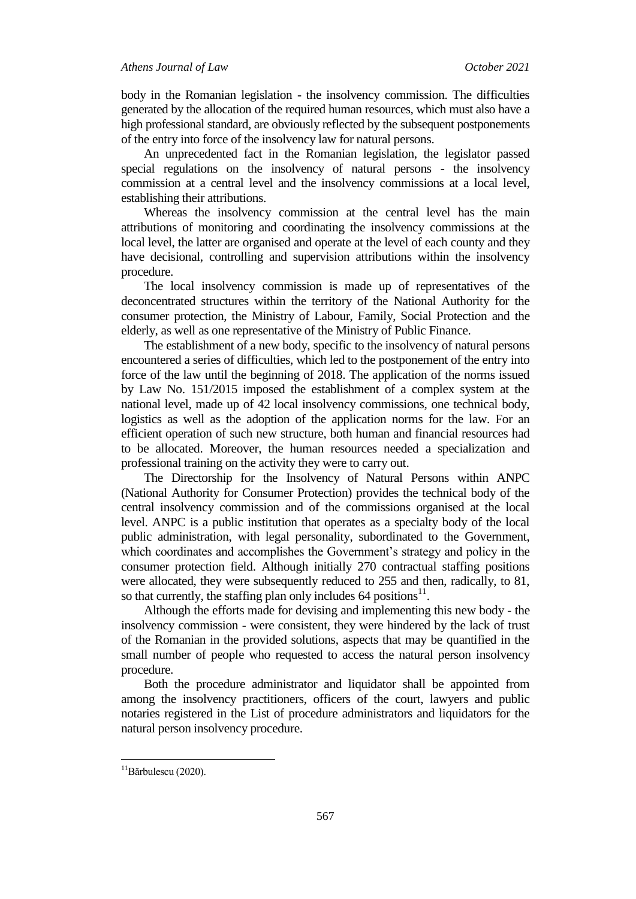body in the Romanian legislation - the insolvency commission. The difficulties generated by the allocation of the required human resources, which must also have a high professional standard, are obviously reflected by the subsequent postponements of the entry into force of the insolvency law for natural persons.

An unprecedented fact in the Romanian legislation, the legislator passed special regulations on the insolvency of natural persons - the insolvency commission at a central level and the insolvency commissions at a local level, establishing their attributions.

Whereas the insolvency commission at the central level has the main attributions of monitoring and coordinating the insolvency commissions at the local level, the latter are organised and operate at the level of each county and they have decisional, controlling and supervision attributions within the insolvency procedure.

The local insolvency commission is made up of representatives of the deconcentrated structures within the territory of the National Authority for the consumer protection, the Ministry of Labour, Family, Social Protection and the elderly, as well as one representative of the Ministry of Public Finance.

The establishment of a new body, specific to the insolvency of natural persons encountered a series of difficulties, which led to the postponement of the entry into force of the law until the beginning of 2018. The application of the norms issued by Law No. 151/2015 imposed the establishment of a complex system at the national level, made up of 42 local insolvency commissions, one technical body, logistics as well as the adoption of the application norms for the law. For an efficient operation of such new structure, both human and financial resources had to be allocated. Moreover, the human resources needed a specialization and professional training on the activity they were to carry out.

The Directorship for the Insolvency of Natural Persons within ANPC (National Authority for Consumer Protection) provides the technical body of the central insolvency commission and of the commissions organised at the local level. ANPC is a public institution that operates as a specialty body of the local public administration, with legal personality, subordinated to the Government, which coordinates and accomplishes the Government's strategy and policy in the consumer protection field. Although initially 270 contractual staffing positions were allocated, they were subsequently reduced to 255 and then, radically, to 81, so that currently, the staffing plan only includes  $64$  positions<sup>11</sup>.

Although the efforts made for devising and implementing this new body - the insolvency commission - were consistent, they were hindered by the lack of trust of the Romanian in the provided solutions, aspects that may be quantified in the small number of people who requested to access the natural person insolvency procedure.

Both the procedure administrator and liquidator shall be appointed from among the insolvency practitioners, officers of the court, lawyers and public notaries registered in the List of procedure administrators and liquidators for the natural person insolvency procedure.

 $\overline{a}$ 

<sup>&</sup>lt;sup>11</sup>Bărbulescu (2020).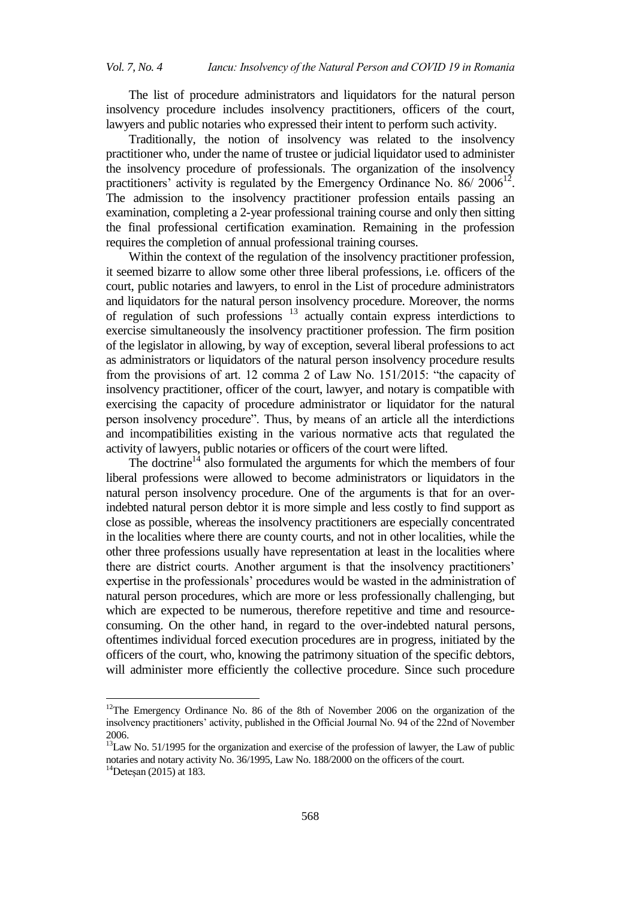The list of procedure administrators and liquidators for the natural person insolvency procedure includes insolvency practitioners, officers of the court, lawyers and public notaries who expressed their intent to perform such activity.

Traditionally, the notion of insolvency was related to the insolvency practitioner who, under the name of trustee or judicial liquidator used to administer the insolvency procedure of professionals. The organization of the insolvency practitioners' activity is regulated by the Emergency Ordinance No.  $86/2006^{12}$ . The admission to the insolvency practitioner profession entails passing an examination, completing a 2-year professional training course and only then sitting the final professional certification examination. Remaining in the profession requires the completion of annual professional training courses.

Within the context of the regulation of the insolvency practitioner profession, it seemed bizarre to allow some other three liberal professions, i.e. officers of the court, public notaries and lawyers, to enrol in the List of procedure administrators and liquidators for the natural person insolvency procedure. Moreover, the norms of regulation of such professions <sup>13</sup> actually contain express interdictions to exercise simultaneously the insolvency practitioner profession. The firm position of the legislator in allowing, by way of exception, several liberal professions to act as administrators or liquidators of the natural person insolvency procedure results from the provisions of art. 12 comma 2 of Law No. 151/2015: "the capacity of insolvency practitioner, officer of the court, lawyer, and notary is compatible with exercising the capacity of procedure administrator or liquidator for the natural person insolvency procedure". Thus, by means of an article all the interdictions and incompatibilities existing in the various normative acts that regulated the activity of lawyers, public notaries or officers of the court were lifted.

The doctrine<sup>14</sup> also formulated the arguments for which the members of four liberal professions were allowed to become administrators or liquidators in the natural person insolvency procedure. One of the arguments is that for an overindebted natural person debtor it is more simple and less costly to find support as close as possible, whereas the insolvency practitioners are especially concentrated in the localities where there are county courts, and not in other localities, while the other three professions usually have representation at least in the localities where there are district courts. Another argument is that the insolvency practitioners" expertise in the professionals' procedures would be wasted in the administration of natural person procedures, which are more or less professionally challenging, but which are expected to be numerous, therefore repetitive and time and resourceconsuming. On the other hand, in regard to the over-indebted natural persons, oftentimes individual forced execution procedures are in progress, initiated by the officers of the court, who, knowing the patrimony situation of the specific debtors, will administer more efficiently the collective procedure. Since such procedure

 $\ddot{\phantom{a}}$ 

 $12$ The Emergency Ordinance No. 86 of the 8th of November 2006 on the organization of the insolvency practitioners" activity, published in the Official Journal No. 94 of the 22nd of November 2006.

<sup>&</sup>lt;sup>13</sup>Law No. 51/1995 for the organization and exercise of the profession of lawyer, the Law of public notaries and notary activity No. 36/1995, Law No. 188/2000 on the officers of the court.

<sup>14</sup>Deteșan (2015) at 183.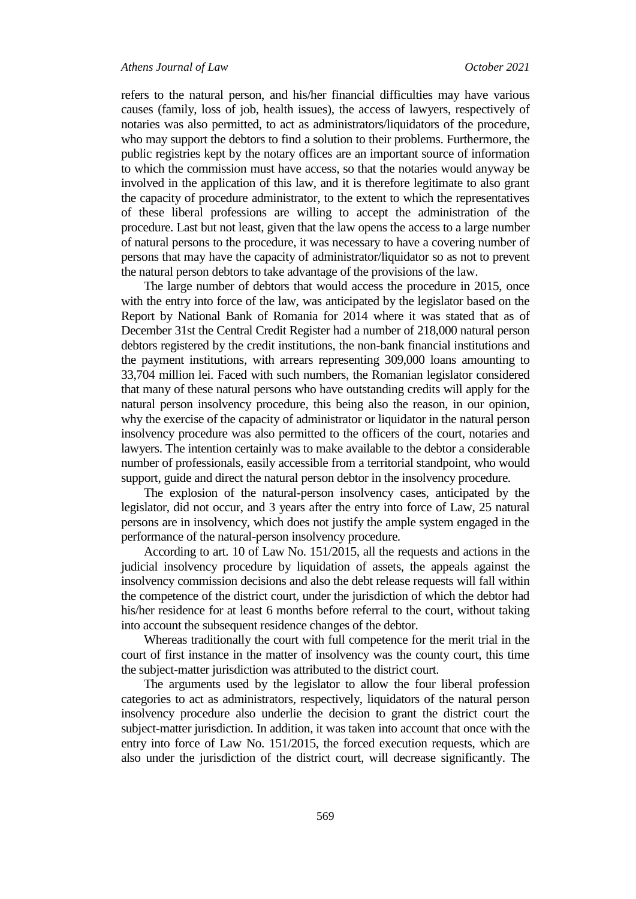refers to the natural person, and his/her financial difficulties may have various causes (family, loss of job, health issues), the access of lawyers, respectively of notaries was also permitted, to act as administrators/liquidators of the procedure, who may support the debtors to find a solution to their problems. Furthermore, the public registries kept by the notary offices are an important source of information to which the commission must have access, so that the notaries would anyway be involved in the application of this law, and it is therefore legitimate to also grant the capacity of procedure administrator, to the extent to which the representatives of these liberal professions are willing to accept the administration of the procedure. Last but not least, given that the law opens the access to a large number of natural persons to the procedure, it was necessary to have a covering number of persons that may have the capacity of administrator/liquidator so as not to prevent the natural person debtors to take advantage of the provisions of the law.

The large number of debtors that would access the procedure in 2015, once with the entry into force of the law, was anticipated by the legislator based on the Report by National Bank of Romania for 2014 where it was stated that as of December 31st the Central Credit Register had a number of 218,000 natural person debtors registered by the credit institutions, the non-bank financial institutions and the payment institutions, with arrears representing 309,000 loans amounting to 33,704 million lei. Faced with such numbers, the Romanian legislator considered that many of these natural persons who have outstanding credits will apply for the natural person insolvency procedure, this being also the reason, in our opinion, why the exercise of the capacity of administrator or liquidator in the natural person insolvency procedure was also permitted to the officers of the court, notaries and lawyers. The intention certainly was to make available to the debtor a considerable number of professionals, easily accessible from a territorial standpoint, who would support, guide and direct the natural person debtor in the insolvency procedure.

The explosion of the natural-person insolvency cases, anticipated by the legislator, did not occur, and 3 years after the entry into force of Law, 25 natural persons are in insolvency, which does not justify the ample system engaged in the performance of the natural-person insolvency procedure.

According to art. 10 of Law No. 151/2015, all the requests and actions in the judicial insolvency procedure by liquidation of assets, the appeals against the insolvency commission decisions and also the debt release requests will fall within the competence of the district court, under the jurisdiction of which the debtor had his/her residence for at least 6 months before referral to the court, without taking into account the subsequent residence changes of the debtor.

Whereas traditionally the court with full competence for the merit trial in the court of first instance in the matter of insolvency was the county court, this time the subject-matter jurisdiction was attributed to the district court.

The arguments used by the legislator to allow the four liberal profession categories to act as administrators, respectively, liquidators of the natural person insolvency procedure also underlie the decision to grant the district court the subject-matter jurisdiction. In addition, it was taken into account that once with the entry into force of Law No. 151/2015, the forced execution requests, which are also under the jurisdiction of the district court, will decrease significantly. The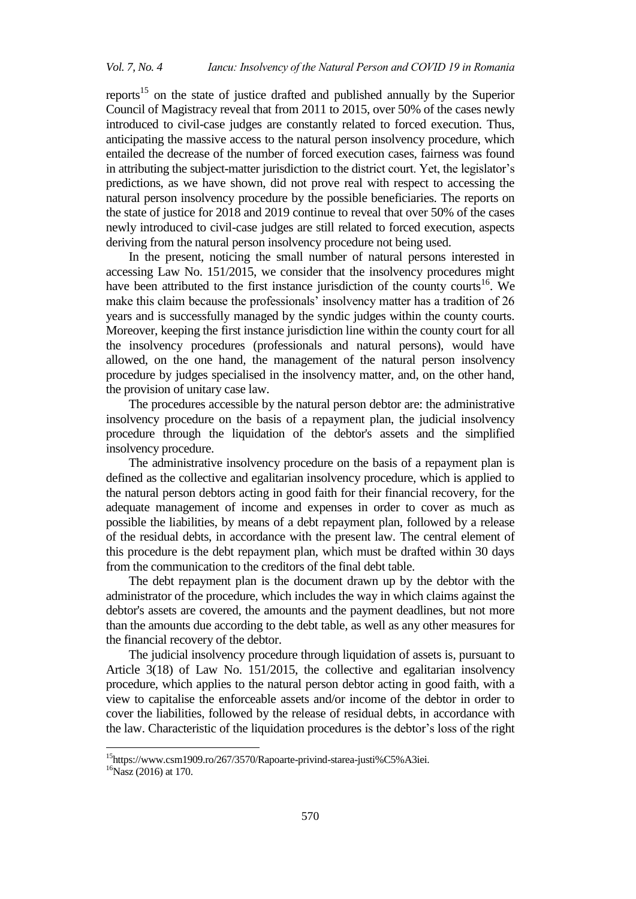reports<sup>15</sup> on the state of justice drafted and published annually by the Superior Council of Magistracy reveal that from 2011 to 2015, over 50% of the cases newly introduced to civil-case judges are constantly related to forced execution. Thus, anticipating the massive access to the natural person insolvency procedure, which entailed the decrease of the number of forced execution cases, fairness was found in attributing the subject-matter jurisdiction to the district court. Yet, the legislator"s predictions, as we have shown, did not prove real with respect to accessing the natural person insolvency procedure by the possible beneficiaries. The reports on the state of justice for 2018 and 2019 continue to reveal that over 50% of the cases newly introduced to civil-case judges are still related to forced execution, aspects deriving from the natural person insolvency procedure not being used.

In the present, noticing the small number of natural persons interested in accessing Law No. 151/2015, we consider that the insolvency procedures might have been attributed to the first instance jurisdiction of the county courts<sup>16</sup>. We make this claim because the professionals' insolvency matter has a tradition of 26 years and is successfully managed by the syndic judges within the county courts. Moreover, keeping the first instance jurisdiction line within the county court for all the insolvency procedures (professionals and natural persons), would have allowed, on the one hand, the management of the natural person insolvency procedure by judges specialised in the insolvency matter, and, on the other hand, the provision of unitary case law.

The procedures accessible by the natural person debtor are: the administrative insolvency procedure on the basis of a repayment plan, the judicial insolvency procedure through the liquidation of the debtor's assets and the simplified insolvency procedure.

The administrative insolvency procedure on the basis of a repayment plan is defined as the collective and egalitarian insolvency procedure, which is applied to the natural person debtors acting in good faith for their financial recovery, for the adequate management of income and expenses in order to cover as much as possible the liabilities, by means of a debt repayment plan, followed by a release of the residual debts, in accordance with the present law. The central element of this procedure is the debt repayment plan, which must be drafted within 30 days from the communication to the creditors of the final debt table.

The debt repayment plan is the document drawn up by the debtor with the administrator of the procedure, which includes the way in which claims against the debtor's assets are covered, the amounts and the payment deadlines, but not more than the amounts due according to the debt table, as well as any other measures for the financial recovery of the debtor.

The judicial insolvency procedure through liquidation of assets is, pursuant to Article 3(18) of Law No. 151/2015, the collective and egalitarian insolvency procedure, which applies to the natural person debtor acting in good faith, with a view to capitalise the enforceable assets and/or income of the debtor in order to cover the liabilities, followed by the release of residual debts, in accordance with the law. Characteristic of the liquidation procedures is the debtor"s loss of the right

 $\overline{a}$ 

<sup>15</sup>https://www.csm1909.ro/267/3570/Rapoarte-privind-starea-justi%C5%A3iei.

 $16$ Nasz (2016) at 170.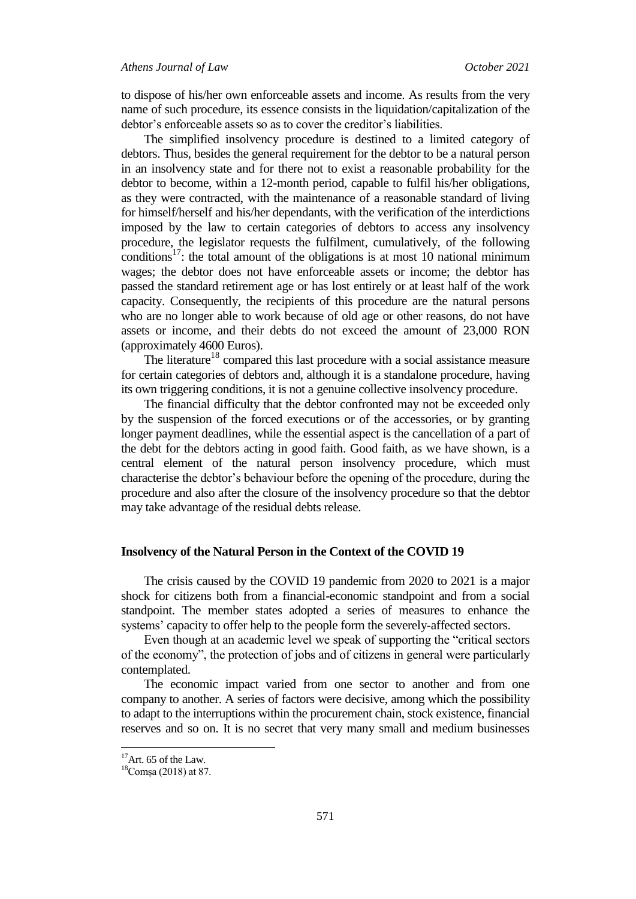to dispose of his/her own enforceable assets and income. As results from the very name of such procedure, its essence consists in the liquidation/capitalization of the debtor"s enforceable assets so as to cover the creditor"s liabilities.

The simplified insolvency procedure is destined to a limited category of debtors. Thus, besides the general requirement for the debtor to be a natural person in an insolvency state and for there not to exist a reasonable probability for the debtor to become, within a 12-month period, capable to fulfil his/her obligations, as they were contracted, with the maintenance of a reasonable standard of living for himself/herself and his/her dependants, with the verification of the interdictions imposed by the law to certain categories of debtors to access any insolvency procedure, the legislator requests the fulfilment, cumulatively, of the following conditions<sup>17</sup>: the total amount of the obligations is at most 10 national minimum wages; the debtor does not have enforceable assets or income; the debtor has passed the standard retirement age or has lost entirely or at least half of the work capacity. Consequently, the recipients of this procedure are the natural persons who are no longer able to work because of old age or other reasons, do not have assets or income, and their debts do not exceed the amount of 23,000 RON (approximately 4600 Euros).

The literature<sup>18</sup> compared this last procedure with a social assistance measure for certain categories of debtors and, although it is a standalone procedure, having its own triggering conditions, it is not a genuine collective insolvency procedure.

The financial difficulty that the debtor confronted may not be exceeded only by the suspension of the forced executions or of the accessories, or by granting longer payment deadlines, while the essential aspect is the cancellation of a part of the debt for the debtors acting in good faith. Good faith, as we have shown, is a central element of the natural person insolvency procedure, which must characterise the debtor"s behaviour before the opening of the procedure, during the procedure and also after the closure of the insolvency procedure so that the debtor may take advantage of the residual debts release.

### **Insolvency of the Natural Person in the Context of the COVID 19**

The crisis caused by the COVID 19 pandemic from 2020 to 2021 is a major shock for citizens both from a financial-economic standpoint and from a social standpoint. The member states adopted a series of measures to enhance the systems' capacity to offer help to the people form the severely-affected sectors.

Even though at an academic level we speak of supporting the "critical sectors of the economy", the protection of jobs and of citizens in general were particularly contemplated.

The economic impact varied from one sector to another and from one company to another. A series of factors were decisive, among which the possibility to adapt to the interruptions within the procurement chain, stock existence, financial reserves and so on. It is no secret that very many small and medium businesses

 $\overline{\phantom{a}}$ 

 $17$ Art. 65 of the Law.

<sup>18</sup>Comșa (2018) at 87.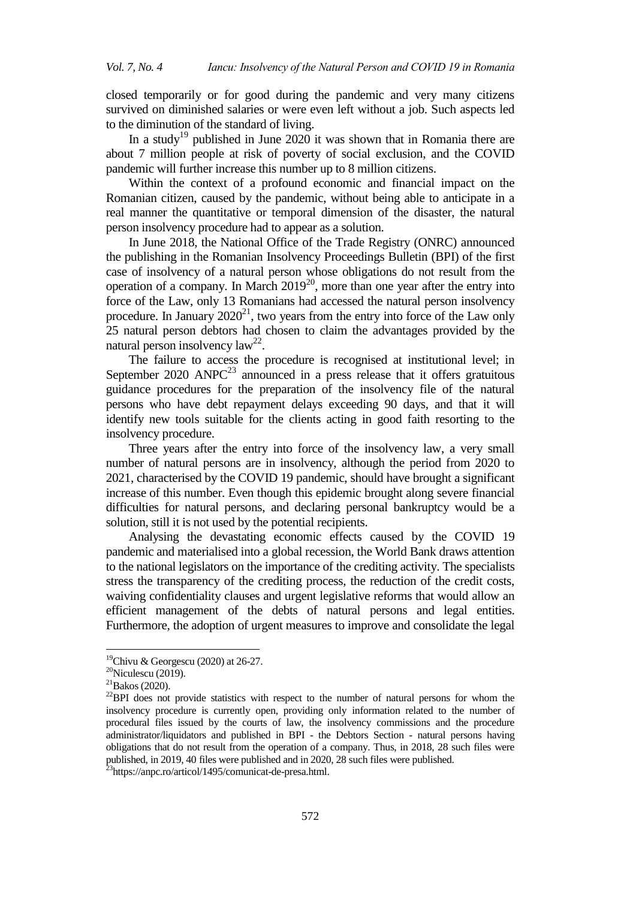closed temporarily or for good during the pandemic and very many citizens survived on diminished salaries or were even left without a job. Such aspects led to the diminution of the standard of living.

In a study<sup>19</sup> published in June 2020 it was shown that in Romania there are about 7 million people at risk of poverty of social exclusion, and the COVID pandemic will further increase this number up to 8 million citizens.

Within the context of a profound economic and financial impact on the Romanian citizen, caused by the pandemic, without being able to anticipate in a real manner the quantitative or temporal dimension of the disaster, the natural person insolvency procedure had to appear as a solution.

In June 2018, the National Office of the Trade Registry (ONRC) announced the publishing in the Romanian Insolvency Proceedings Bulletin (BPI) of the first case of insolvency of a natural person whose obligations do not result from the operation of a company. In March  $2019^{20}$ , more than one year after the entry into force of the Law, only 13 Romanians had accessed the natural person insolvency procedure. In January  $2020^{21}$ , two years from the entry into force of the Law only 25 natural person debtors had chosen to claim the advantages provided by the natural person insolvency law<sup>22</sup>.

The failure to access the procedure is recognised at institutional level; in September 2020  $ANPC<sup>23</sup>$  announced in a press release that it offers gratuitous guidance procedures for the preparation of the insolvency file of the natural persons who have debt repayment delays exceeding 90 days, and that it will identify new tools suitable for the clients acting in good faith resorting to the insolvency procedure.

Three years after the entry into force of the insolvency law, a very small number of natural persons are in insolvency, although the period from 2020 to 2021, characterised by the COVID 19 pandemic, should have brought a significant increase of this number. Even though this epidemic brought along severe financial difficulties for natural persons, and declaring personal bankruptcy would be a solution, still it is not used by the potential recipients.

Analysing the devastating economic effects caused by the COVID 19 pandemic and materialised into a global recession, the World Bank draws attention to the national legislators on the importance of the crediting activity. The specialists stress the transparency of the crediting process, the reduction of the credit costs, waiving confidentiality clauses and urgent legislative reforms that would allow an efficient management of the debts of natural persons and legal entities. Furthermore, the adoption of urgent measures to improve and consolidate the legal

1

<sup>&</sup>lt;sup>19</sup>Chivu & Georgescu (2020) at 26-27.

 $20$ Niculescu (2019).

 $^{21}$ Bakos (2020).

<sup>&</sup>lt;sup>22</sup>BPI does not provide statistics with respect to the number of natural persons for whom the insolvency procedure is currently open, providing only information related to the number of procedural files issued by the courts of law, the insolvency commissions and the procedure administrator/liquidators and published in BPI - the Debtors Section - natural persons having obligations that do not result from the operation of a company. Thus, in 2018, 28 such files were published, in 2019, 40 files were published and in 2020, 28 such files were published.

<sup>&</sup>lt;sup>23</sup>https://anpc.ro/articol/1495/comunicat-de-presa.html.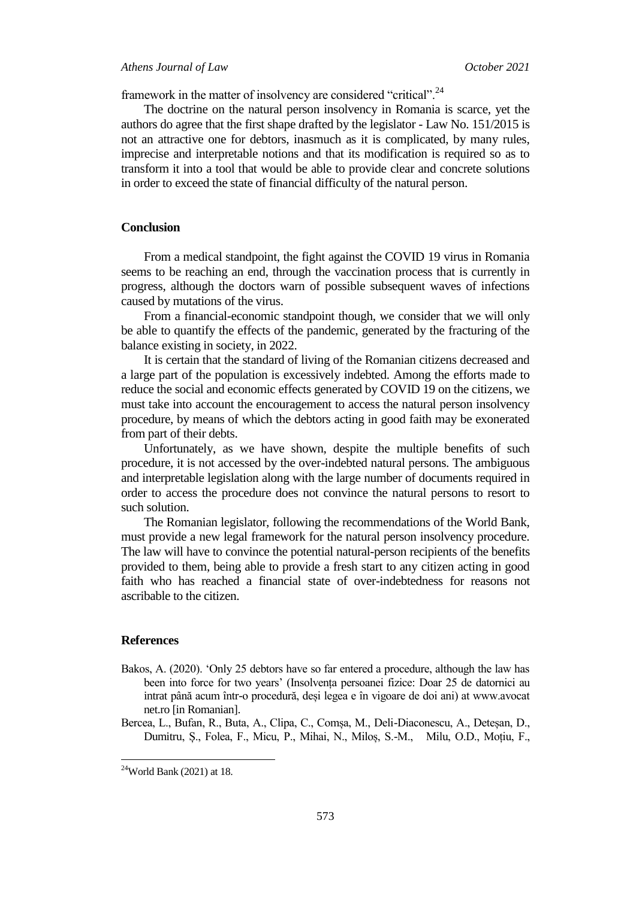framework in the matter of insolvency are considered "critical".<sup>24</sup>

The doctrine on the natural person insolvency in Romania is scarce, yet the authors do agree that the first shape drafted by the legislator - Law No. 151/2015 is not an attractive one for debtors, inasmuch as it is complicated, by many rules, imprecise and interpretable notions and that its modification is required so as to transform it into a tool that would be able to provide clear and concrete solutions in order to exceed the state of financial difficulty of the natural person.

### **Conclusion**

From a medical standpoint, the fight against the COVID 19 virus in Romania seems to be reaching an end, through the vaccination process that is currently in progress, although the doctors warn of possible subsequent waves of infections caused by mutations of the virus.

From a financial-economic standpoint though, we consider that we will only be able to quantify the effects of the pandemic, generated by the fracturing of the balance existing in society, in 2022.

It is certain that the standard of living of the Romanian citizens decreased and a large part of the population is excessively indebted. Among the efforts made to reduce the social and economic effects generated by COVID 19 on the citizens, we must take into account the encouragement to access the natural person insolvency procedure, by means of which the debtors acting in good faith may be exonerated from part of their debts.

Unfortunately, as we have shown, despite the multiple benefits of such procedure, it is not accessed by the over-indebted natural persons. The ambiguous and interpretable legislation along with the large number of documents required in order to access the procedure does not convince the natural persons to resort to such solution.

The Romanian legislator, following the recommendations of the World Bank, must provide a new legal framework for the natural person insolvency procedure. The law will have to convince the potential natural-person recipients of the benefits provided to them, being able to provide a fresh start to any citizen acting in good faith who has reached a financial state of over-indebtedness for reasons not ascribable to the citizen.

#### **References**

 $\overline{a}$ 

- Bakos, A. (2020). "Only 25 debtors have so far entered a procedure, although the law has been into force for two years" (Insolvența persoanei fizice: Doar 25 de datornici au intrat până acum într-o procedură, deși legea e în vigoare de doi ani) at www.avocat net.ro [in Romanian].
- Bercea, L., Bufan, R., Buta, A., Clipa, C., Comșa, M., Deli-Diaconescu, A., Deteșan, D., Dumitru, Ș., Folea, F., Micu, P., Mihai, N., Miloș, S.-M., Milu, O.D., Moțiu, F.,

 $24$ World Bank (2021) at 18.